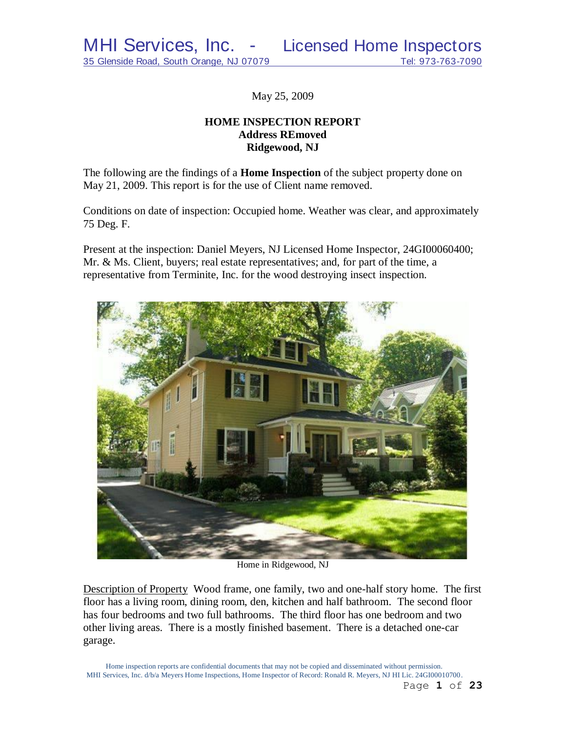May 25, 2009

# **HOME INSPECTION REPORT Address REmoved Ridgewood, NJ**

The following are the findings of a **Home Inspection** of the subject property done on May 21, 2009. This report is for the use of Client name removed.

Conditions on date of inspection: Occupied home. Weather was clear, and approximately 75 Deg. F.

Present at the inspection: Daniel Meyers, NJ Licensed Home Inspector, 24GI00060400; Mr. & Ms. Client, buyers; real estate representatives; and, for part of the time, a representative from Terminite, Inc. for the wood destroying insect inspection.



Home in Ridgewood, NJ

Description of Property Wood frame, one family, two and one-half story home. The first floor has a living room, dining room, den, kitchen and half bathroom. The second floor has four bedrooms and two full bathrooms. The third floor has one bedroom and two other living areas. There is a mostly finished basement. There is a detached one-car garage.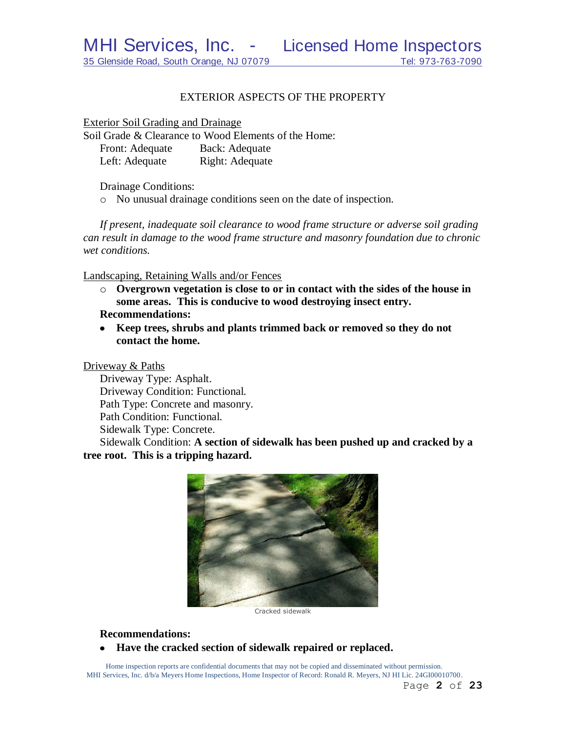## EXTERIOR ASPECTS OF THE PROPERTY

Exterior Soil Grading and Drainage

Soil Grade & Clearance to Wood Elements of the Home: Front: Adequate Back: Adequate Left: Adequate Right: Adequate

Drainage Conditions:

o No unusual drainage conditions seen on the date of inspection.

*If present, inadequate soil clearance to wood frame structure or adverse soil grading can result in damage to the wood frame structure and masonry foundation due to chronic wet conditions.*

Landscaping, Retaining Walls and/or Fences

- o **Overgrown vegetation is close to or in contact with the sides of the house in some areas. This is conducive to wood destroying insect entry. Recommendations:**
- **Keep trees, shrubs and plants trimmed back or removed so they do not contact the home.**

Driveway & Paths

Driveway Type: Asphalt. Driveway Condition: Functional. Path Type: Concrete and masonry. Path Condition: Functional. Sidewalk Type: Concrete.

Sidewalk Condition: **A section of sidewalk has been pushed up and cracked by a tree root. This is a tripping hazard.**



Cracked sidewalk

**Recommendations:**

**Have the cracked section of sidewalk repaired or replaced.** $\bullet$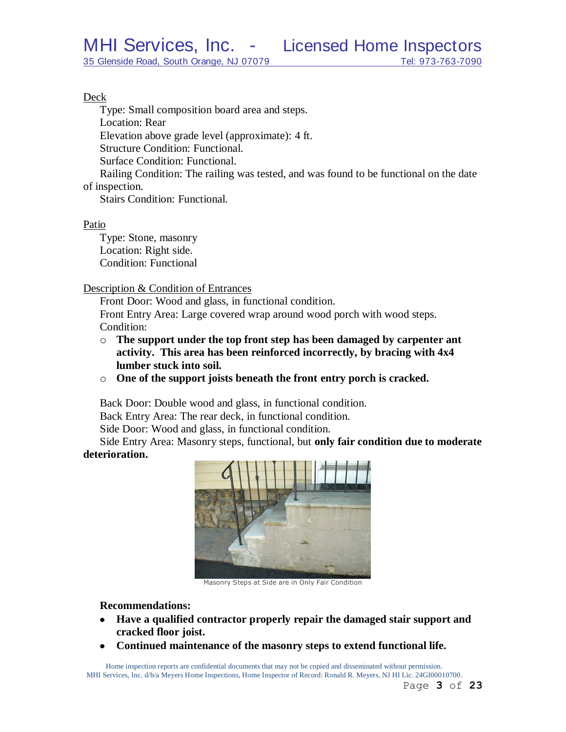#### Deck

Type: Small composition board area and steps. Location: Rear

Elevation above grade level (approximate): 4 ft.

Structure Condition: Functional.

Surface Condition: Functional.

Railing Condition: The railing was tested, and was found to be functional on the date of inspection.

Stairs Condition: Functional.

## Patio

Type: Stone, masonry Location: Right side. Condition: Functional

Description & Condition of Entrances

Front Door: Wood and glass, in functional condition.

Front Entry Area: Large covered wrap around wood porch with wood steps. Condition:

- o **The support under the top front step has been damaged by carpenter ant activity. This area has been reinforced incorrectly, by bracing with 4x4 lumber stuck into soil.**
- o **One of the support joists beneath the front entry porch is cracked.**

Back Door: Double wood and glass, in functional condition.

Back Entry Area: The rear deck, in functional condition.

Side Door: Wood and glass, in functional condition.

Side Entry Area: Masonry steps, functional, but **only fair condition due to moderate deterioration.**



Masonry Steps at Side are in Only Fair Condition

## **Recommendations:**

- **Have a qualified contractor properly repair the damaged stair support and cracked floor joist.**
- **Continued maintenance of the masonry steps to extend functional life.** $\bullet$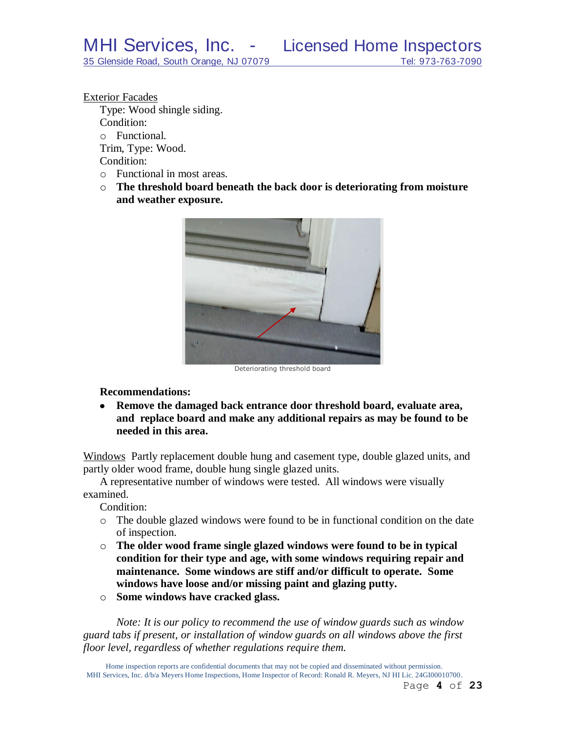Exterior Facades Type: Wood shingle siding. Condition: o Functional. Trim, Type: Wood.

Condition:

- o Functional in most areas.
- o **The threshold board beneath the back door is deteriorating from moisture and weather exposure.**



Deteriorating threshold board

**Recommendations:**

**Remove the damaged back entrance door threshold board, evaluate area,**   $\bullet$ **and replace board and make any additional repairs as may be found to be needed in this area.**

Windows Partly replacement double hung and casement type, double glazed units, and partly older wood frame, double hung single glazed units.

A representative number of windows were tested. All windows were visually examined.

Condition:

- o The double glazed windows were found to be in functional condition on the date of inspection.
- o **The older wood frame single glazed windows were found to be in typical condition for their type and age, with some windows requiring repair and maintenance. Some windows are stiff and/or difficult to operate. Some windows have loose and/or missing paint and glazing putty.**
- o **Some windows have cracked glass.**

*Note: It is our policy to recommend the use of window guards such as window guard tabs if present, or installation of window guards on all windows above the first floor level, regardless of whether regulations require them.*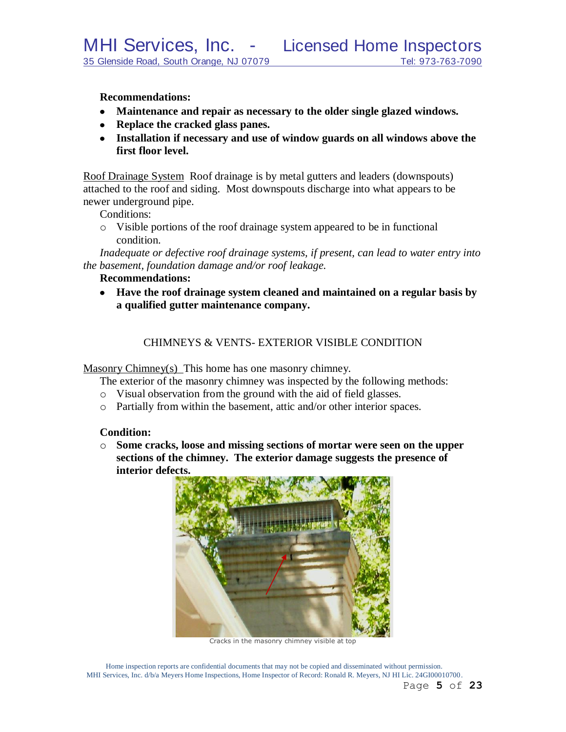MHI Services, Inc. - Licensed Home Inspectors

**Recommendations:**

- **Maintenance and repair as necessary to the older single glazed windows.**
- **Replace the cracked glass panes.**
- **Installation if necessary and use of window guards on all windows above the first floor level.**

Roof Drainage System Roof drainage is by metal gutters and leaders (downspouts) attached to the roof and siding. Most downspouts discharge into what appears to be newer underground pipe.

Conditions:

o Visible portions of the roof drainage system appeared to be in functional condition.

*Inadequate or defective roof drainage systems, if present, can lead to water entry into the basement, foundation damage and/or roof leakage.*

## **Recommendations:**

**Have the roof drainage system cleaned and maintained on a regular basis by a qualified gutter maintenance company.**

## CHIMNEYS & VENTS- EXTERIOR VISIBLE CONDITION

Masonry Chimney(s) This home has one masonry chimney.

The exterior of the masonry chimney was inspected by the following methods:

- o Visual observation from the ground with the aid of field glasses.
- o Partially from within the basement, attic and/or other interior spaces.

## **Condition:**

o **Some cracks, loose and missing sections of mortar were seen on the upper sections of the chimney. The exterior damage suggests the presence of interior defects.**



Cracks in the masonry chimney visible at top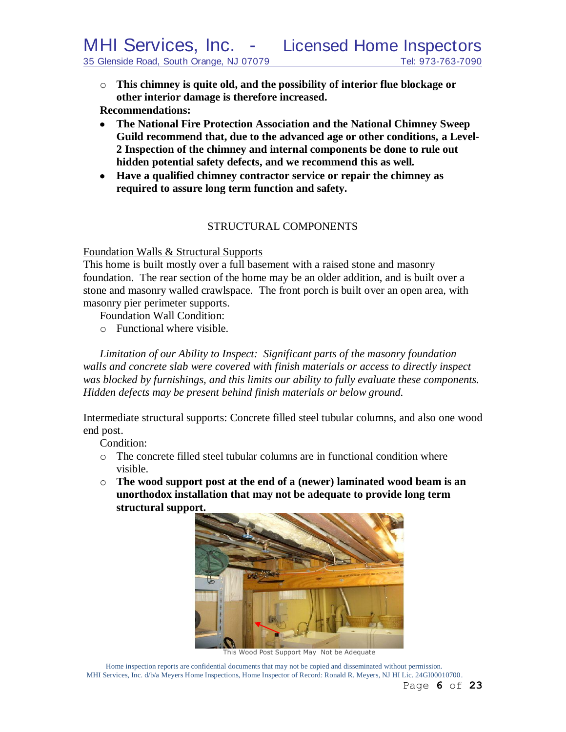- o **This chimney is quite old, and the possibility of interior flue blockage or other interior damage is therefore increased. Recommendations:**
- **The National Fire Protection Association and the National Chimney Sweep Guild recommend that, due to the advanced age or other conditions, a Level-2 Inspection of the chimney and internal components be done to rule out hidden potential safety defects, and we recommend this as well***.*
- **Have a qualified chimney contractor service or repair the chimney as required to assure long term function and safety.**

# STRUCTURAL COMPONENTS

#### Foundation Walls & Structural Supports

This home is built mostly over a full basement with a raised stone and masonry foundation. The rear section of the home may be an older addition, and is built over a stone and masonry walled crawlspace. The front porch is built over an open area, with masonry pier perimeter supports.

Foundation Wall Condition:

o Functional where visible.

*Limitation of our Ability to Inspect: Significant parts of the masonry foundation walls and concrete slab were covered with finish materials or access to directly inspect was blocked by furnishings, and this limits our ability to fully evaluate these components. Hidden defects may be present behind finish materials or below ground.*

Intermediate structural supports: Concrete filled steel tubular columns, and also one wood end post.

Condition:

- $\circ$  The concrete filled steel tubular columns are in functional condition where visible.
- o **The wood support post at the end of a (newer) laminated wood beam is an unorthodox installation that may not be adequate to provide long term structural support.**



This Wood Post Support May Not be Adequate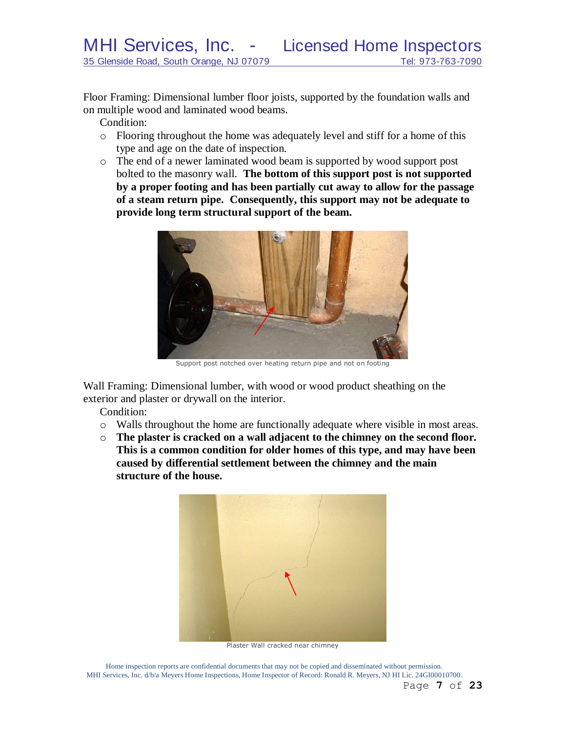Floor Framing: Dimensional lumber floor joists, supported by the foundation walls and on multiple wood and laminated wood beams.

Condition:

- o Flooring throughout the home was adequately level and stiff for a home of this type and age on the date of inspection.
- o The end of a newer laminated wood beam is supported by wood support post bolted to the masonry wall. **The bottom of this support post is not supported by a proper footing and has been partially cut away to allow for the passage of a steam return pipe. Consequently, this support may not be adequate to provide long term structural support of the beam.**



Support post notched over heating return pipe and not on footing

Wall Framing: Dimensional lumber, with wood or wood product sheathing on the exterior and plaster or drywall on the interior.

Condition:

- o Walls throughout the home are functionally adequate where visible in most areas.
- o **The plaster is cracked on a wall adjacent to the chimney on the second floor. This is a common condition for older homes of this type, and may have been caused by differential settlement between the chimney and the main structure of the house.**



Plaster Wall cracked near chimney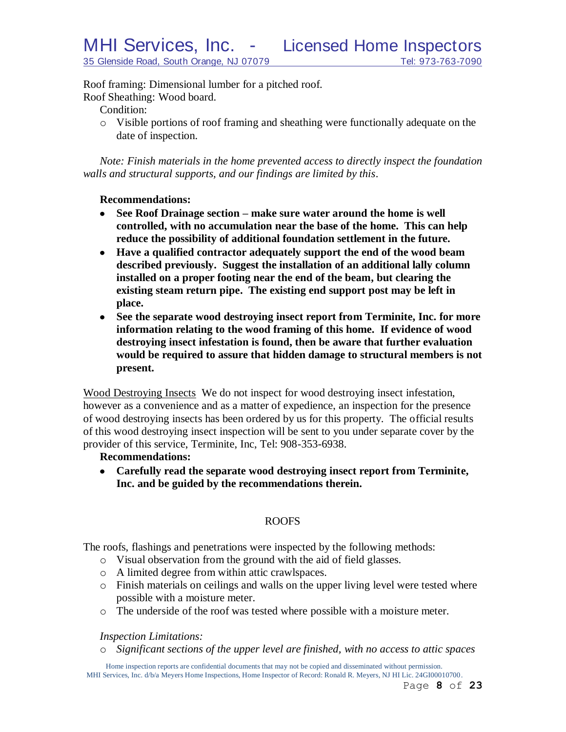Roof framing: Dimensional lumber for a pitched roof. Roof Sheathing: Wood board.

Condition:

o Visible portions of roof framing and sheathing were functionally adequate on the date of inspection.

*Note: Finish materials in the home prevented access to directly inspect the foundation walls and structural supports, and our findings are limited by this*.

## **Recommendations:**

- **See Roof Drainage section – make sure water around the home is well controlled, with no accumulation near the base of the home. This can help reduce the possibility of additional foundation settlement in the future.**
- **Have a qualified contractor adequately support the end of the wood beam described previously. Suggest the installation of an additional lally column installed on a proper footing near the end of the beam, but clearing the existing steam return pipe. The existing end support post may be left in place.**
- **See the separate wood destroying insect report from Terminite, Inc. for more information relating to the wood framing of this home. If evidence of wood destroying insect infestation is found, then be aware that further evaluation would be required to assure that hidden damage to structural members is not present.**

Wood Destroying Insects We do not inspect for wood destroying insect infestation, however as a convenience and as a matter of expedience, an inspection for the presence of wood destroying insects has been ordered by us for this property. The official results of this wood destroying insect inspection will be sent to you under separate cover by the provider of this service, Terminite, Inc, Tel: 908-353-6938.

# **Recommendations:**

**Carefully read the separate wood destroying insect report from Terminite, Inc. and be guided by the recommendations therein.**

# ROOFS

The roofs, flashings and penetrations were inspected by the following methods:

- o Visual observation from the ground with the aid of field glasses.
- o A limited degree from within attic crawlspaces.
- o Finish materials on ceilings and walls on the upper living level were tested where possible with a moisture meter.
- o The underside of the roof was tested where possible with a moisture meter.

## *Inspection Limitations:*

o *Significant sections of the upper level are finished, with no access to attic spaces*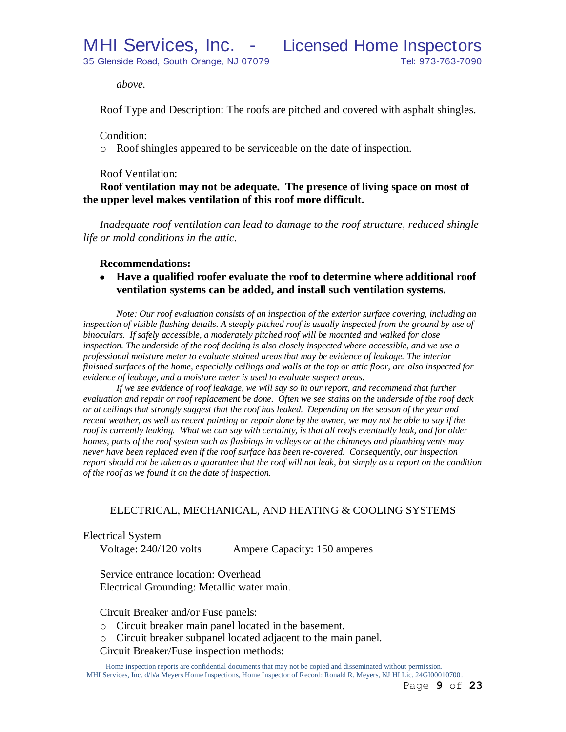*above.*

Roof Type and Description: The roofs are pitched and covered with asphalt shingles.

Condition:

o Roof shingles appeared to be serviceable on the date of inspection.

Roof Ventilation:

**Roof ventilation may not be adequate. The presence of living space on most of the upper level makes ventilation of this roof more difficult.**

*Inadequate roof ventilation can lead to damage to the roof structure, reduced shingle life or mold conditions in the attic.*

#### **Recommendations:**

**Have a qualified roofer evaluate the roof to determine where additional roof ventilation systems can be added, and install such ventilation systems.**

*Note: Our roof evaluation consists of an inspection of the exterior surface covering, including an*  inspection of visible flashing details. A steeply pitched roof is usually inspected from the ground by use of *binoculars. If safely accessible, a moderately pitched roof will be mounted and walked for close inspection. The underside of the roof decking is also closely inspected where accessible, and we use a professional moisture meter to evaluate stained areas that may be evidence of leakage. The interior finished surfaces of the home, especially ceilings and walls at the top or attic floor, are also inspected for evidence of leakage, and a moisture meter is used to evaluate suspect areas.*

*If we see evidence of roof leakage, we will say so in our report, and recommend that further evaluation and repair or roof replacement be done. Often we see stains on the underside of the roof deck or at ceilings that strongly suggest that the roof has leaked. Depending on the season of the year and recent weather, as well as recent painting or repair done by the owner, we may not be able to say if the roof is currently leaking. What we can say with certainty, is that all roofs eventually leak, and for older homes, parts of the roof system such as flashings in valleys or at the chimneys and plumbing vents may never have been replaced even if the roof surface has been re-covered. Consequently, our inspection report should not be taken as a guarantee that the roof will not leak, but simply as a report on the condition of the roof as we found it on the date of inspection.*

# ELECTRICAL, MECHANICAL, AND HEATING & COOLING SYSTEMS

#### Electrical System

Voltage: 240/120 volts Ampere Capacity: 150 amperes

Service entrance location: Overhead Electrical Grounding: Metallic water main.

Circuit Breaker and/or Fuse panels:

- o Circuit breaker main panel located in the basement.
- o Circuit breaker subpanel located adjacent to the main panel.
- Circuit Breaker/Fuse inspection methods: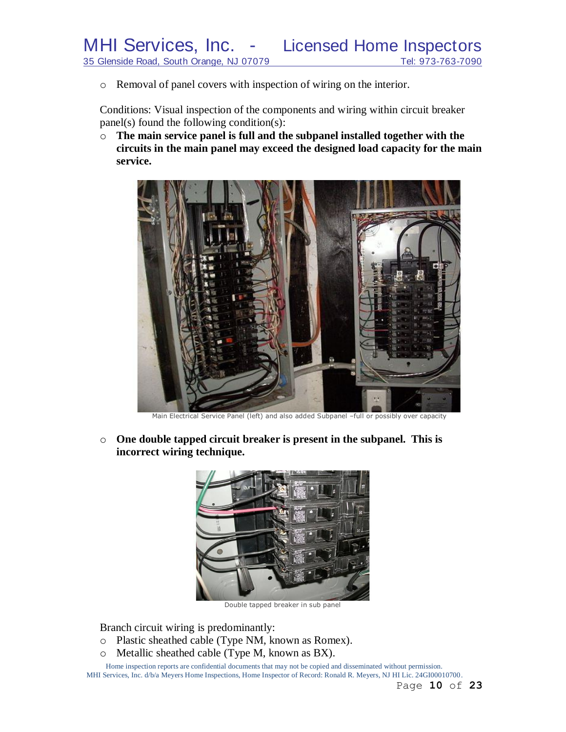o Removal of panel covers with inspection of wiring on the interior.

Conditions: Visual inspection of the components and wiring within circuit breaker panel(s) found the following condition(s):

o **The main service panel is full and the subpanel installed together with the circuits in the main panel may exceed the designed load capacity for the main service.**



Main Electrical Service Panel (left) and also added Subpanel –full or possibly over capacity

o **One double tapped circuit breaker is present in the subpanel. This is incorrect wiring technique.**



Double tapped breaker in sub panel

Branch circuit wiring is predominantly:

- o Plastic sheathed cable (Type NM, known as Romex).
- o Metallic sheathed cable (Type M, known as BX).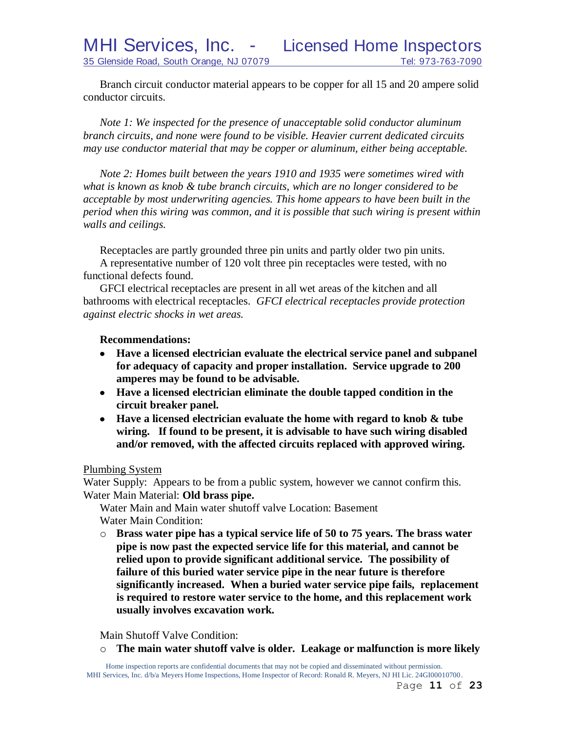Branch circuit conductor material appears to be copper for all 15 and 20 ampere solid conductor circuits.

*Note 1: We inspected for the presence of unacceptable solid conductor aluminum branch circuits, and none were found to be visible. Heavier current dedicated circuits may use conductor material that may be copper or aluminum, either being acceptable.*

*Note 2: Homes built between the years 1910 and 1935 were sometimes wired with what is known as knob & tube branch circuits, which are no longer considered to be acceptable by most underwriting agencies. This home appears to have been built in the period when this wiring was common, and it is possible that such wiring is present within walls and ceilings.*

Receptacles are partly grounded three pin units and partly older two pin units. A representative number of 120 volt three pin receptacles were tested, with no functional defects found.

GFCI electrical receptacles are present in all wet areas of the kitchen and all bathrooms with electrical receptacles. *GFCI electrical receptacles provide protection against electric shocks in wet areas.*

#### **Recommendations:**

- **Have a licensed electrician evaluate the electrical service panel and subpanel for adequacy of capacity and proper installation. Service upgrade to 200 amperes may be found to be advisable.**
- **Have a licensed electrician eliminate the double tapped condition in the circuit breaker panel.**
- **Have a licensed electrician evaluate the home with regard to knob & tube wiring. If found to be present, it is advisable to have such wiring disabled and/or removed, with the affected circuits replaced with approved wiring.**

#### Plumbing System

Water Supply: Appears to be from a public system, however we cannot confirm this. Water Main Material: **Old brass pipe.**

Water Main and Main water shutoff valve Location: Basement Water Main Condition:

o **Brass water pipe has a typical service life of 50 to 75 years. The brass water pipe is now past the expected service life for this material, and cannot be relied upon to provide significant additional service. The possibility of failure of this buried water service pipe in the near future is therefore significantly increased. When a buried water service pipe fails, replacement is required to restore water service to the home, and this replacement work usually involves excavation work.**

Main Shutoff Valve Condition:

o **The main water shutoff valve is older. Leakage or malfunction is more likely**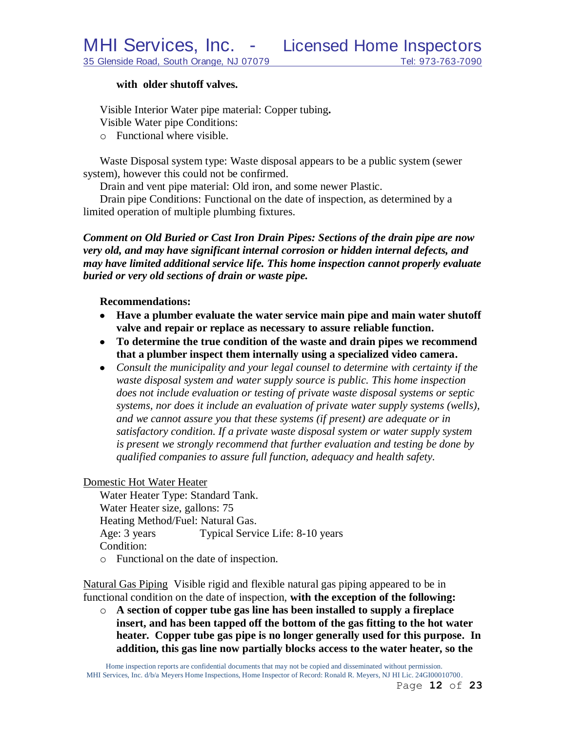#### **with older shutoff valves.**

Visible Interior Water pipe material: Copper tubing**.** Visible Water pipe Conditions:

o Functional where visible.

Waste Disposal system type: Waste disposal appears to be a public system (sewer system), however this could not be confirmed.

Drain and vent pipe material: Old iron, and some newer Plastic.

Drain pipe Conditions: Functional on the date of inspection, as determined by a limited operation of multiple plumbing fixtures.

*Comment on Old Buried or Cast Iron Drain Pipes: Sections of the drain pipe are now very old, and may have significant internal corrosion or hidden internal defects, and may have limited additional service life. This home inspection cannot properly evaluate buried or very old sections of drain or waste pipe.*

**Recommendations:**

- **Have a plumber evaluate the water service main pipe and main water shutoff valve and repair or replace as necessary to assure reliable function.**
- **To determine the true condition of the waste and drain pipes we recommend that a plumber inspect them internally using a specialized video camera.**
- *Consult the municipality and your legal counsel to determine with certainty if the waste disposal system and water supply source is public. This home inspection does not include evaluation or testing of private waste disposal systems or septic systems, nor does it include an evaluation of private water supply systems (wells), and we cannot assure you that these systems (if present) are adequate or in satisfactory condition. If a private waste disposal system or water supply system is present we strongly recommend that further evaluation and testing be done by qualified companies to assure full function, adequacy and health safety.*

## Domestic Hot Water Heater

Water Heater Type: Standard Tank. Water Heater size, gallons: 75 Heating Method/Fuel: Natural Gas. Age: 3 years Typical Service Life: 8-10 years Condition: o Functional on the date of inspection.

Natural Gas Piping Visible rigid and flexible natural gas piping appeared to be in functional condition on the date of inspection, **with the exception of the following:**

o **A section of copper tube gas line has been installed to supply a fireplace insert, and has been tapped off the bottom of the gas fitting to the hot water heater. Copper tube gas pipe is no longer generally used for this purpose. In addition, this gas line now partially blocks access to the water heater, so the**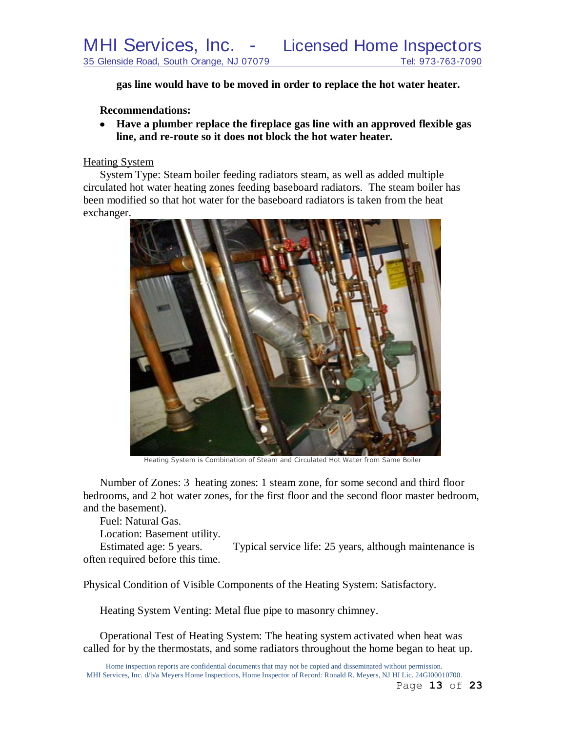**gas line would have to be moved in order to replace the hot water heater.**

#### **Recommendations:**

**Have a plumber replace the fireplace gas line with an approved flexible gas line, and re-route so it does not block the hot water heater.**

## Heating System

System Type: Steam boiler feeding radiators steam, as well as added multiple circulated hot water heating zones feeding baseboard radiators. The steam boiler has been modified so that hot water for the baseboard radiators is taken from the heat exchanger.



Heating System is Combination of Steam and Circulated Hot Water from Same Boiler

Number of Zones: 3 heating zones: 1 steam zone, for some second and third floor bedrooms, and 2 hot water zones, for the first floor and the second floor master bedroom, and the basement).

Fuel: Natural Gas.

Location: Basement utility.

Estimated age: 5 years. Typical service life: 25 years, although maintenance is often required before this time.

Physical Condition of Visible Components of the Heating System: Satisfactory.

Heating System Venting: Metal flue pipe to masonry chimney.

Operational Test of Heating System: The heating system activated when heat was called for by the thermostats, and some radiators throughout the home began to heat up.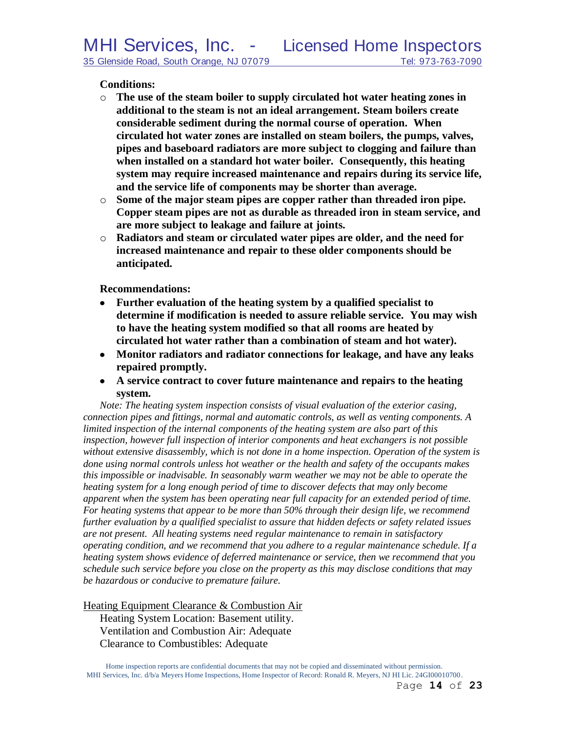#### **Conditions:**

- o **The use of the steam boiler to supply circulated hot water heating zones in additional to the steam is not an ideal arrangement. Steam boilers create considerable sediment during the normal course of operation. When circulated hot water zones are installed on steam boilers, the pumps, valves, pipes and baseboard radiators are more subject to clogging and failure than when installed on a standard hot water boiler. Consequently, this heating system may require increased maintenance and repairs during its service life, and the service life of components may be shorter than average.**
- o **Some of the major steam pipes are copper rather than threaded iron pipe. Copper steam pipes are not as durable as threaded iron in steam service, and are more subject to leakage and failure at joints.**
- o **Radiators and steam or circulated water pipes are older, and the need for increased maintenance and repair to these older components should be anticipated.**

**Recommendations:**

- **Further evaluation of the heating system by a qualified specialist to determine if modification is needed to assure reliable service. You may wish to have the heating system modified so that all rooms are heated by circulated hot water rather than a combination of steam and hot water).**
- **Monitor radiators and radiator connections for leakage, and have any leaks repaired promptly.**
- **A service contract to cover future maintenance and repairs to the heating system.**

*Note: The heating system inspection consists of visual evaluation of the exterior casing, connection pipes and fittings, normal and automatic controls, as well as venting components. A limited inspection of the internal components of the heating system are also part of this inspection, however full inspection of interior components and heat exchangers is not possible without extensive disassembly, which is not done in a home inspection. Operation of the system is done using normal controls unless hot weather or the health and safety of the occupants makes this impossible or inadvisable. In seasonably warm weather we may not be able to operate the heating system for a long enough period of time to discover defects that may only become apparent when the system has been operating near full capacity for an extended period of time. For heating systems that appear to be more than 50% through their design life, we recommend further evaluation by a qualified specialist to assure that hidden defects or safety related issues are not present. All heating systems need regular maintenance to remain in satisfactory operating condition, and we recommend that you adhere to a regular maintenance schedule. If a heating system shows evidence of deferred maintenance or service, then we recommend that you schedule such service before you close on the property as this may disclose conditions that may be hazardous or conducive to premature failure.*

Heating Equipment Clearance & Combustion Air

Heating System Location: Basement utility. Ventilation and Combustion Air: Adequate Clearance to Combustibles: Adequate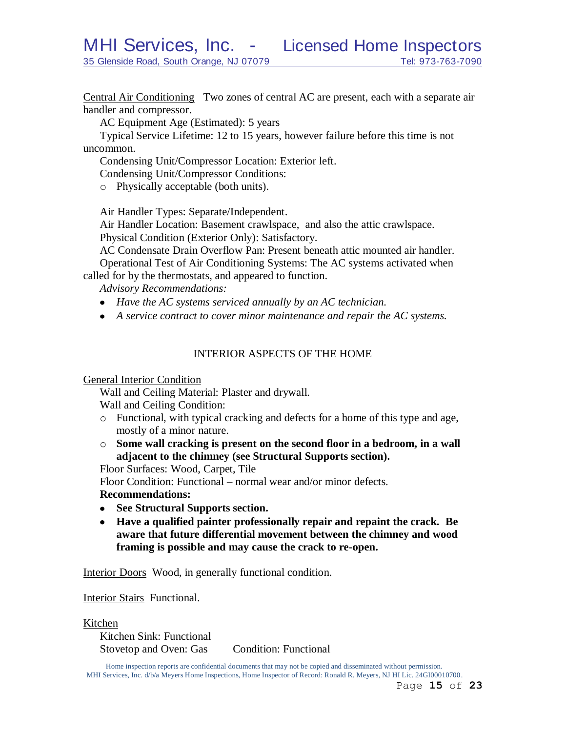Central Air Conditioning Two zones of central AC are present, each with a separate air handler and compressor.

AC Equipment Age (Estimated): 5 years

Typical Service Lifetime: 12 to 15 years, however failure before this time is not uncommon.

Condensing Unit/Compressor Location: Exterior left.

Condensing Unit/Compressor Conditions:

o Physically acceptable (both units).

Air Handler Types: Separate/Independent.

Air Handler Location: Basement crawlspace, and also the attic crawlspace.

Physical Condition (Exterior Only): Satisfactory.

AC Condensate Drain Overflow Pan: Present beneath attic mounted air handler.

Operational Test of Air Conditioning Systems: The AC systems activated when called for by the thermostats, and appeared to function.

*Advisory Recommendations:* 

- *Have the AC systems serviced annually by an AC technician.*
- *A service contract to cover minor maintenance and repair the AC systems.*

## INTERIOR ASPECTS OF THE HOME

General Interior Condition

Wall and Ceiling Material: Plaster and drywall.

Wall and Ceiling Condition:

- o Functional, with typical cracking and defects for a home of this type and age, mostly of a minor nature.
- o **Some wall cracking is present on the second floor in a bedroom, in a wall adjacent to the chimney (see Structural Supports section).**

Floor Surfaces: Wood, Carpet, Tile

Floor Condition: Functional – normal wear and/or minor defects.

## **Recommendations:**

- **See Structural Supports section.**
- **Have a qualified painter professionally repair and repaint the crack. Be aware that future differential movement between the chimney and wood framing is possible and may cause the crack to re-open.**

Interior Doors Wood, in generally functional condition.

Interior Stairs Functional.

Kitchen

Kitchen Sink: Functional Stovetop and Oven: Gas Condition: Functional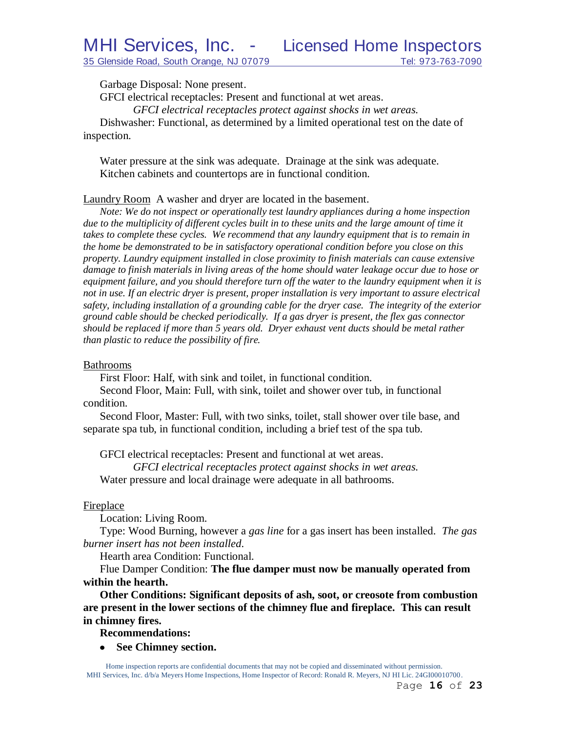Garbage Disposal: None present.

GFCI electrical receptacles: Present and functional at wet areas.

*GFCI electrical receptacles protect against shocks in wet areas.*

Dishwasher: Functional, as determined by a limited operational test on the date of inspection.

Water pressure at the sink was adequate. Drainage at the sink was adequate. Kitchen cabinets and countertops are in functional condition.

Laundry Room A washer and dryer are located in the basement.

*Note: We do not inspect or operationally test laundry appliances during a home inspection*  due to the multiplicity of different cycles built in to these units and the large amount of time it *takes to complete these cycles. We recommend that any laundry equipment that is to remain in the home be demonstrated to be in satisfactory operational condition before you close on this property. Laundry equipment installed in close proximity to finish materials can cause extensive damage to finish materials in living areas of the home should water leakage occur due to hose or equipment failure, and you should therefore turn off the water to the laundry equipment when it is not in use. If an electric dryer is present, proper installation is very important to assure electrical safety, including installation of a grounding cable for the dryer case. The integrity of the exterior ground cable should be checked periodically. If a gas dryer is present, the flex gas connector should be replaced if more than 5 years old. Dryer exhaust vent ducts should be metal rather than plastic to reduce the possibility of fire.*

#### Bathrooms

First Floor: Half, with sink and toilet, in functional condition.

Second Floor, Main: Full, with sink, toilet and shower over tub, in functional condition.

Second Floor, Master: Full, with two sinks, toilet, stall shower over tile base, and separate spa tub, in functional condition, including a brief test of the spa tub.

GFCI electrical receptacles: Present and functional at wet areas.

*GFCI electrical receptacles protect against shocks in wet areas.*

Water pressure and local drainage were adequate in all bathrooms.

#### **Fireplace**

Location: Living Room.

Type: Wood Burning, however a *gas line* for a gas insert has been installed. *The gas burner insert has not been installed*.

Hearth area Condition: Functional.

Flue Damper Condition: **The flue damper must now be manually operated from within the hearth.**

**Other Conditions: Significant deposits of ash, soot, or creosote from combustion are present in the lower sections of the chimney flue and fireplace. This can result in chimney fires.**

**Recommendations:**

**See Chimney section.** $\bullet$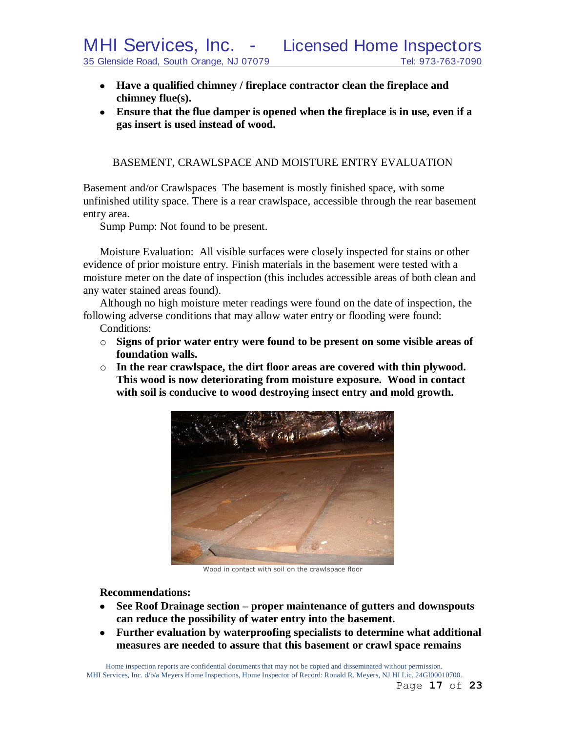- **Have a qualified chimney / fireplace contractor clean the fireplace and chimney flue(s).**
- **Ensure that the flue damper is opened when the fireplace is in use, even if a gas insert is used instead of wood.**

BASEMENT, CRAWLSPACE AND MOISTURE ENTRY EVALUATION

Basement and/or Crawlspaces The basement is mostly finished space, with some unfinished utility space. There is a rear crawlspace, accessible through the rear basement entry area.

Sump Pump: Not found to be present.

Moisture Evaluation: All visible surfaces were closely inspected for stains or other evidence of prior moisture entry. Finish materials in the basement were tested with a moisture meter on the date of inspection (this includes accessible areas of both clean and any water stained areas found).

Although no high moisture meter readings were found on the date of inspection, the following adverse conditions that may allow water entry or flooding were found:

Conditions:

- o **Signs of prior water entry were found to be present on some visible areas of foundation walls.**
- o **In the rear crawlspace, the dirt floor areas are covered with thin plywood. This wood is now deteriorating from moisture exposure. Wood in contact with soil is conducive to wood destroying insect entry and mold growth.**



Wood in contact with soil on the crawlspace floor

#### **Recommendations:**

- **See Roof Drainage section – proper maintenance of gutters and downspouts**   $\bullet$ **can reduce the possibility of water entry into the basement.**
- **Further evaluation by waterproofing specialists to determine what additional**   $\bullet$ **measures are needed to assure that this basement or crawl space remains**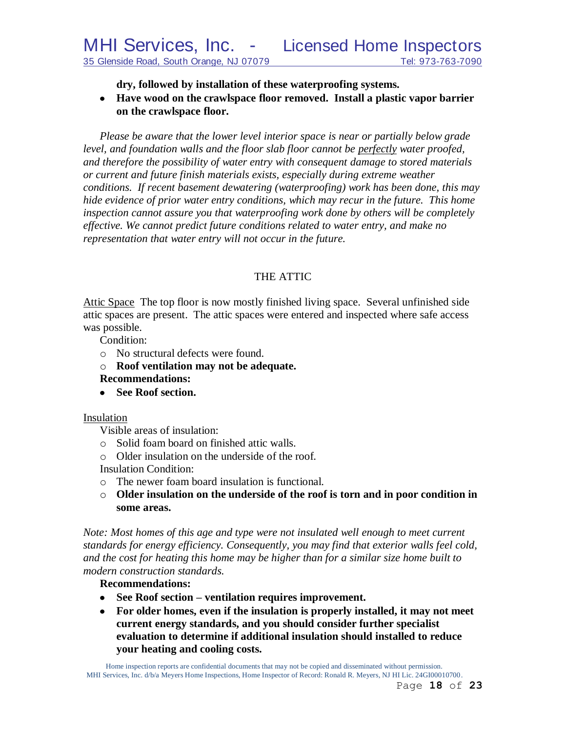**dry, followed by installation of these waterproofing systems.**

**Have wood on the crawlspace floor removed. Install a plastic vapor barrier on the crawlspace floor.**

*Please be aware that the lower level interior space is near or partially below grade level, and foundation walls and the floor slab floor cannot be perfectly water proofed, and therefore the possibility of water entry with consequent damage to stored materials or current and future finish materials exists, especially during extreme weather conditions. If recent basement dewatering (waterproofing) work has been done, this may hide evidence of prior water entry conditions, which may recur in the future. This home inspection cannot assure you that waterproofing work done by others will be completely effective. We cannot predict future conditions related to water entry, and make no representation that water entry will not occur in the future.*

# THE ATTIC

Attic Space The top floor is now mostly finished living space. Several unfinished side attic spaces are present. The attic spaces were entered and inspected where safe access was possible.

Condition:

- o No structural defects were found.
- o **Roof ventilation may not be adequate.**
- **Recommendations:**
- **See Roof section.**

## Insulation

Visible areas of insulation:

- o Solid foam board on finished attic walls.
- o Older insulation on the underside of the roof.

Insulation Condition:

- o The newer foam board insulation is functional.
- o **Older insulation on the underside of the roof is torn and in poor condition in some areas.**

*Note: Most homes of this age and type were not insulated well enough to meet current standards for energy efficiency. Consequently, you may find that exterior walls feel cold, and the cost for heating this home may be higher than for a similar size home built to modern construction standards.*

## **Recommendations:**

- **See Roof section – ventilation requires improvement.**
- **For older homes, even if the insulation is properly installed, it may not meet current energy standards, and you should consider further specialist evaluation to determine if additional insulation should installed to reduce your heating and cooling costs.**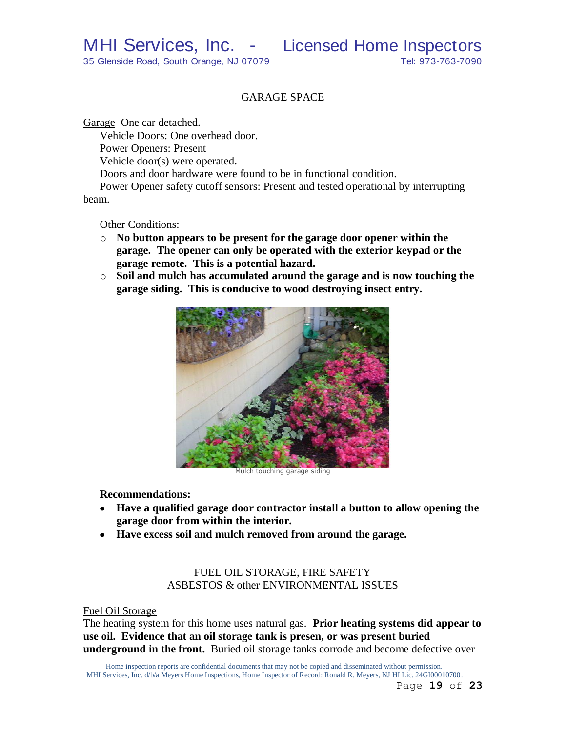## GARAGE SPACE

Garage One car detached.

Vehicle Doors: One overhead door.

Power Openers: Present

Vehicle door(s) were operated.

Doors and door hardware were found to be in functional condition.

Power Opener safety cutoff sensors: Present and tested operational by interrupting beam.

Other Conditions:

- o **No button appears to be present for the garage door opener within the garage. The opener can only be operated with the exterior keypad or the garage remote. This is a potential hazard.**
- o **Soil and mulch has accumulated around the garage and is now touching the garage siding. This is conducive to wood destroying insect entry.**



Mulch touching garage siding

#### **Recommendations:**

- **Have a qualified garage door contractor install a button to allow opening the garage door from within the interior.**
- **Have excess soil and mulch removed from around the garage.**

## FUEL OIL STORAGE, FIRE SAFETY ASBESTOS & other ENVIRONMENTAL ISSUES

#### Fuel Oil Storage

The heating system for this home uses natural gas. **Prior heating systems did appear to use oil. Evidence that an oil storage tank is presen, or was present buried underground in the front.** Buried oil storage tanks corrode and become defective over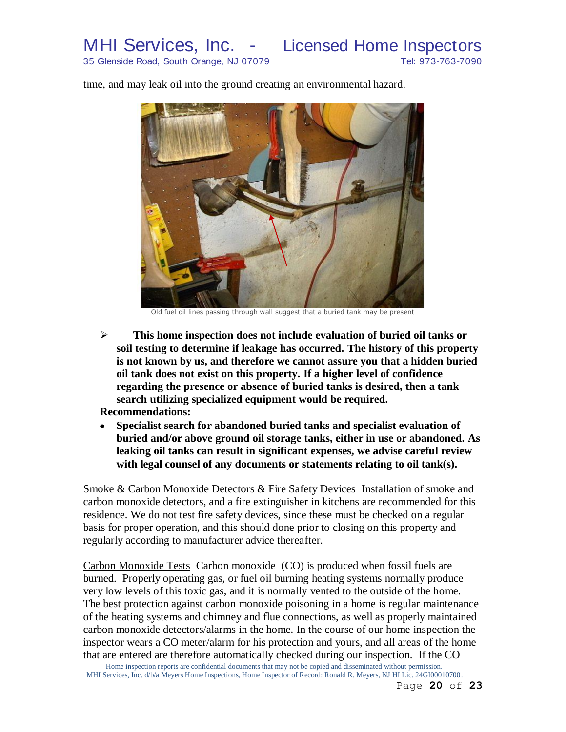time, and may leak oil into the ground creating an environmental hazard.



Old fuel oil lines passing through wall suggest that a buried tank may be present

 **This home inspection does not include evaluation of buried oil tanks or soil testing to determine if leakage has occurred. The history of this property is not known by us, and therefore we cannot assure you that a hidden buried oil tank does not exist on this property. If a higher level of confidence regarding the presence or absence of buried tanks is desired, then a tank search utilizing specialized equipment would be required.**

**Recommendations:**

 $\bullet$ **Specialist search for abandoned buried tanks and specialist evaluation of buried and/or above ground oil storage tanks, either in use or abandoned. As leaking oil tanks can result in significant expenses, we advise careful review with legal counsel of any documents or statements relating to oil tank(s).** 

Smoke & Carbon Monoxide Detectors & Fire Safety Devices Installation of smoke and carbon monoxide detectors, and a fire extinguisher in kitchens are recommended for this residence. We do not test fire safety devices, since these must be checked on a regular basis for proper operation, and this should done prior to closing on this property and regularly according to manufacturer advice thereafter.

Carbon Monoxide Tests Carbon monoxide (CO) is produced when fossil fuels are burned. Properly operating gas, or fuel oil burning heating systems normally produce very low levels of this toxic gas, and it is normally vented to the outside of the home. The best protection against carbon monoxide poisoning in a home is regular maintenance of the heating systems and chimney and flue connections, as well as properly maintained carbon monoxide detectors/alarms in the home. In the course of our home inspection the inspector wears a CO meter/alarm for his protection and yours, and all areas of the home that are entered are therefore automatically checked during our inspection. If the CO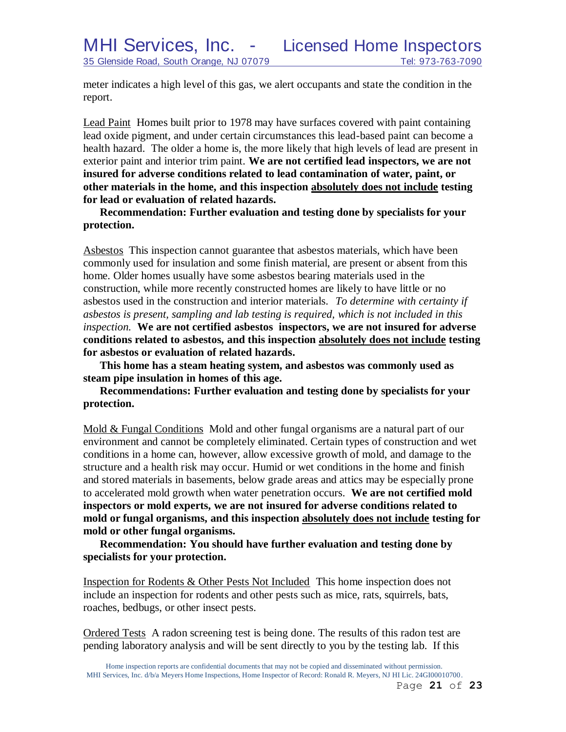meter indicates a high level of this gas, we alert occupants and state the condition in the report.

Lead Paint Homes built prior to 1978 may have surfaces covered with paint containing lead oxide pigment, and under certain circumstances this lead-based paint can become a health hazard. The older a home is, the more likely that high levels of lead are present in exterior paint and interior trim paint. **We are not certified lead inspectors, we are not insured for adverse conditions related to lead contamination of water, paint, or other materials in the home, and this inspection absolutely does not include testing for lead or evaluation of related hazards.** 

**Recommendation: Further evaluation and testing done by specialists for your protection.**

Asbestos This inspection cannot guarantee that asbestos materials, which have been commonly used for insulation and some finish material, are present or absent from this home. Older homes usually have some asbestos bearing materials used in the construction, while more recently constructed homes are likely to have little or no asbestos used in the construction and interior materials. *To determine with certainty if asbestos is present, sampling and lab testing is required, which is not included in this inspection.* **We are not certified asbestos inspectors, we are not insured for adverse conditions related to asbestos, and this inspection absolutely does not include testing for asbestos or evaluation of related hazards.**

**This home has a steam heating system, and asbestos was commonly used as steam pipe insulation in homes of this age.**

**Recommendations: Further evaluation and testing done by specialists for your protection.**

Mold & Fungal Conditions Mold and other fungal organisms are a natural part of our environment and cannot be completely eliminated. Certain types of construction and wet conditions in a home can, however, allow excessive growth of mold, and damage to the structure and a health risk may occur. Humid or wet conditions in the home and finish and stored materials in basements, below grade areas and attics may be especially prone to accelerated mold growth when water penetration occurs. **We are not certified mold inspectors or mold experts, we are not insured for adverse conditions related to mold or fungal organisms, and this inspection absolutely does not include testing for mold or other fungal organisms.**

**Recommendation: You should have further evaluation and testing done by specialists for your protection.**

Inspection for Rodents & Other Pests Not Included This home inspection does not include an inspection for rodents and other pests such as mice, rats, squirrels, bats, roaches, bedbugs, or other insect pests.

Ordered Tests A radon screening test is being done. The results of this radon test are pending laboratory analysis and will be sent directly to you by the testing lab. If this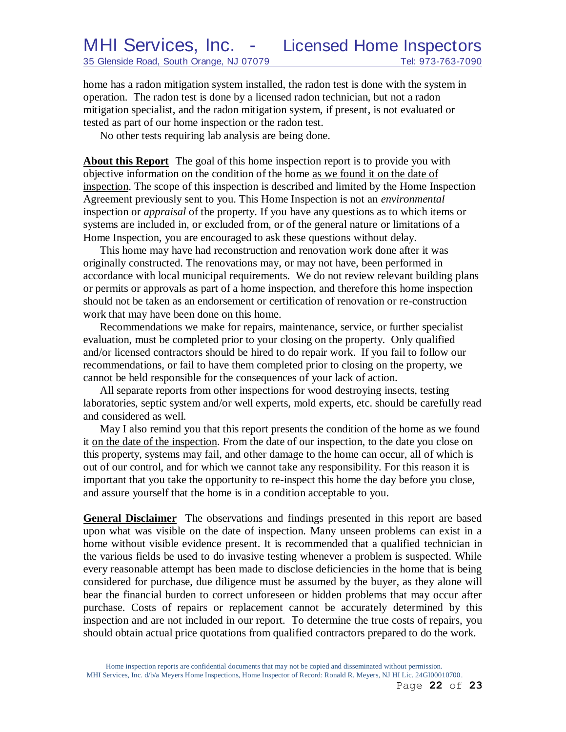home has a radon mitigation system installed, the radon test is done with the system in operation. The radon test is done by a licensed radon technician, but not a radon mitigation specialist, and the radon mitigation system, if present, is not evaluated or tested as part of our home inspection or the radon test.

No other tests requiring lab analysis are being done.

**About this Report** The goal of this home inspection report is to provide you with objective information on the condition of the home as we found it on the date of inspection. The scope of this inspection is described and limited by the Home Inspection Agreement previously sent to you. This Home Inspection is not an *environmental* inspection or *appraisal* of the property. If you have any questions as to which items or systems are included in, or excluded from, or of the general nature or limitations of a Home Inspection, you are encouraged to ask these questions without delay.

This home may have had reconstruction and renovation work done after it was originally constructed. The renovations may, or may not have, been performed in accordance with local municipal requirements. We do not review relevant building plans or permits or approvals as part of a home inspection, and therefore this home inspection should not be taken as an endorsement or certification of renovation or re-construction work that may have been done on this home.

Recommendations we make for repairs, maintenance, service, or further specialist evaluation, must be completed prior to your closing on the property. Only qualified and/or licensed contractors should be hired to do repair work. If you fail to follow our recommendations, or fail to have them completed prior to closing on the property, we cannot be held responsible for the consequences of your lack of action.

All separate reports from other inspections for wood destroying insects, testing laboratories, septic system and/or well experts, mold experts, etc. should be carefully read and considered as well.

May I also remind you that this report presents the condition of the home as we found it on the date of the inspection. From the date of our inspection, to the date you close on this property, systems may fail, and other damage to the home can occur, all of which is out of our control, and for which we cannot take any responsibility. For this reason it is important that you take the opportunity to re-inspect this home the day before you close, and assure yourself that the home is in a condition acceptable to you.

**General Disclaimer** The observations and findings presented in this report are based upon what was visible on the date of inspection. Many unseen problems can exist in a home without visible evidence present. It is recommended that a qualified technician in the various fields be used to do invasive testing whenever a problem is suspected. While every reasonable attempt has been made to disclose deficiencies in the home that is being considered for purchase, due diligence must be assumed by the buyer, as they alone will bear the financial burden to correct unforeseen or hidden problems that may occur after purchase. Costs of repairs or replacement cannot be accurately determined by this inspection and are not included in our report. To determine the true costs of repairs, you should obtain actual price quotations from qualified contractors prepared to do the work.